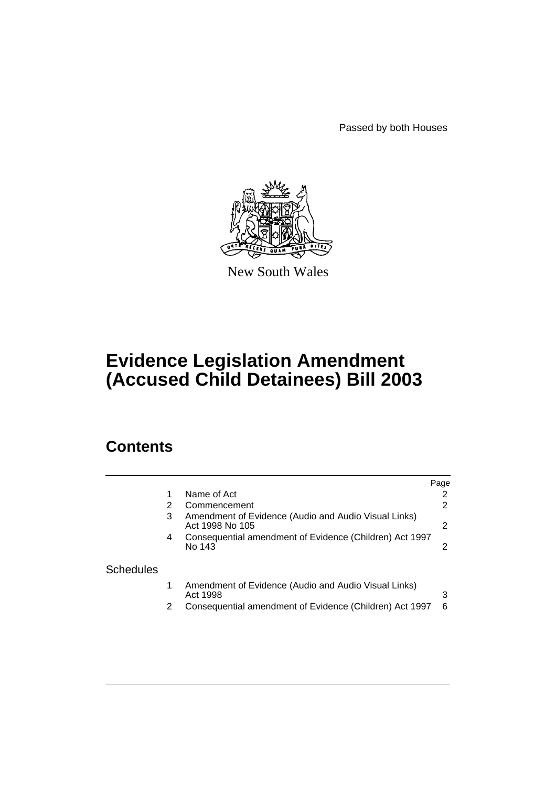Passed by both Houses



New South Wales

# **Evidence Legislation Amendment (Accused Child Detainees) Bill 2003**

## **Contents**

|                  |   |                                                                         | Page           |
|------------------|---|-------------------------------------------------------------------------|----------------|
|                  |   | Name of Act                                                             | 2              |
|                  | 2 | Commencement                                                            | $\overline{2}$ |
|                  | 3 | Amendment of Evidence (Audio and Audio Visual Links)<br>Act 1998 No 105 | 2              |
|                  | 4 | Consequential amendment of Evidence (Children) Act 1997<br>No 143       | 2              |
| <b>Schedules</b> |   |                                                                         |                |
|                  |   | Amendment of Evidence (Audio and Audio Visual Links)<br>Act 1998        | 3              |
|                  | 2 | Consequential amendment of Evidence (Children) Act 1997                 | 6              |
|                  |   |                                                                         |                |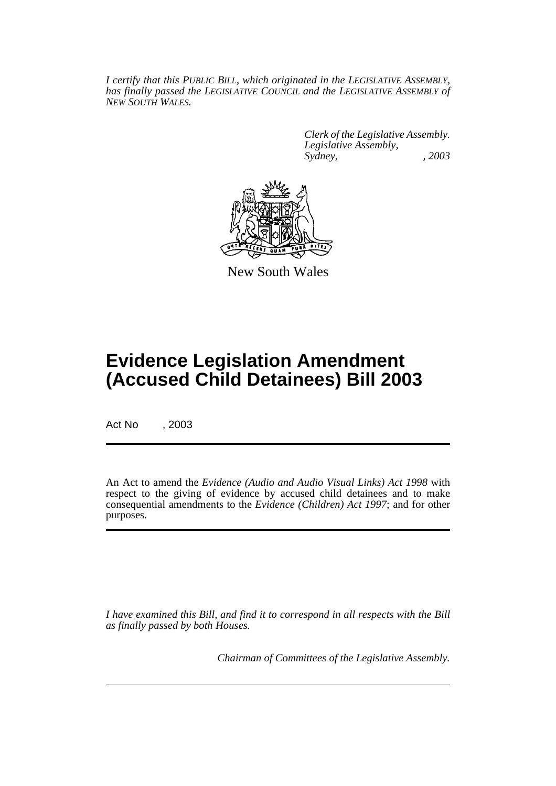*I certify that this PUBLIC BILL, which originated in the LEGISLATIVE ASSEMBLY, has finally passed the LEGISLATIVE COUNCIL and the LEGISLATIVE ASSEMBLY of NEW SOUTH WALES.*

> *Clerk of the Legislative Assembly. Legislative Assembly, Sydney, , 2003*



New South Wales

## **Evidence Legislation Amendment (Accused Child Detainees) Bill 2003**

Act No , 2003

An Act to amend the *Evidence (Audio and Audio Visual Links) Act 1998* with respect to the giving of evidence by accused child detainees and to make consequential amendments to the *Evidence (Children) Act 1997*; and for other purposes.

*I have examined this Bill, and find it to correspond in all respects with the Bill as finally passed by both Houses.*

*Chairman of Committees of the Legislative Assembly.*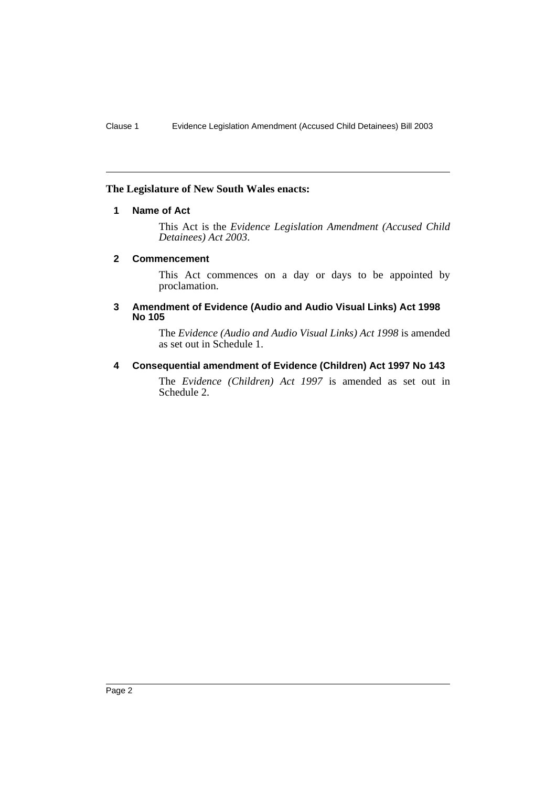#### **The Legislature of New South Wales enacts:**

#### **1 Name of Act**

This Act is the *Evidence Legislation Amendment (Accused Child Detainees) Act 2003*.

#### **2 Commencement**

This Act commences on a day or days to be appointed by proclamation.

#### **3 Amendment of Evidence (Audio and Audio Visual Links) Act 1998 No 105**

The *Evidence (Audio and Audio Visual Links) Act 1998* is amended as set out in Schedule 1.

#### **4 Consequential amendment of Evidence (Children) Act 1997 No 143**

The *Evidence (Children) Act 1997* is amended as set out in Schedule 2.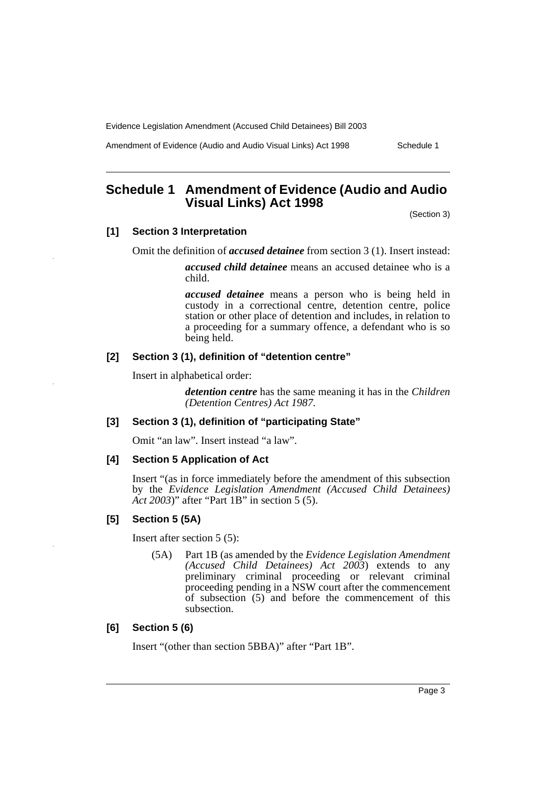Amendment of Evidence (Audio and Audio Visual Links) Act 1998 Schedule 1

### **Schedule 1 Amendment of Evidence (Audio and Audio Visual Links) Act 1998**

(Section 3)

#### **[1] Section 3 Interpretation**

Omit the definition of *accused detainee* from section 3 (1). Insert instead:

*accused child detainee* means an accused detainee who is a child.

*accused detainee* means a person who is being held in custody in a correctional centre, detention centre, police station or other place of detention and includes, in relation to a proceeding for a summary offence, a defendant who is so being held.

#### **[2] Section 3 (1), definition of "detention centre"**

Insert in alphabetical order:

*detention centre* has the same meaning it has in the *Children (Detention Centres) Act 1987.*

#### **[3] Section 3 (1), definition of "participating State"**

Omit "an law". Insert instead "a law".

#### **[4] Section 5 Application of Act**

Insert "(as in force immediately before the amendment of this subsection by the *Evidence Legislation Amendment (Accused Child Detainees) Act 2003*)" after "Part 1B" in section 5 (5).

#### **[5] Section 5 (5A)**

Insert after section 5 (5):

(5A) Part 1B (as amended by the *Evidence Legislation Amendment (Accused Child Detainees) Act 2003*) extends to any preliminary criminal proceeding or relevant criminal proceeding pending in a NSW court after the commencement of subsection (5) and before the commencement of this subsection.

#### **[6] Section 5 (6)**

Insert "(other than section 5BBA)" after "Part 1B".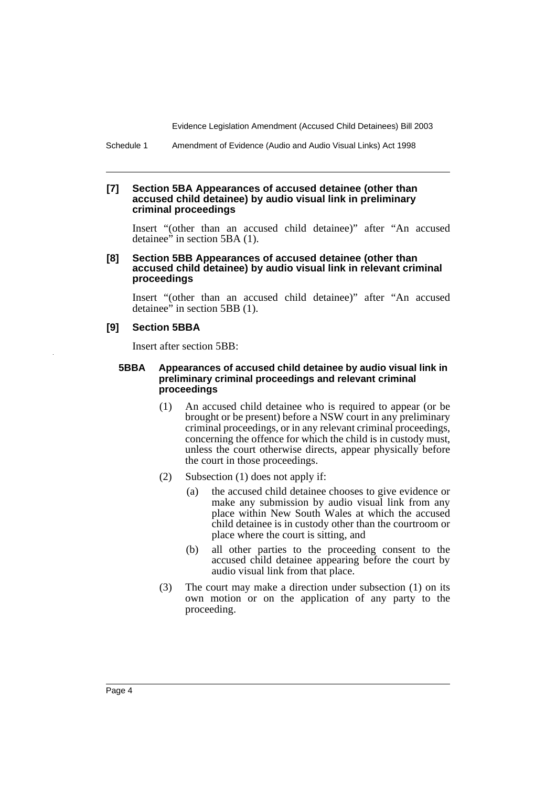Schedule 1 Amendment of Evidence (Audio and Audio Visual Links) Act 1998

#### **[7] Section 5BA Appearances of accused detainee (other than accused child detainee) by audio visual link in preliminary criminal proceedings**

Insert "(other than an accused child detainee)" after "An accused detainee" in section 5BA (1).

#### **[8] Section 5BB Appearances of accused detainee (other than accused child detainee) by audio visual link in relevant criminal proceedings**

Insert "(other than an accused child detainee)" after "An accused detainee" in section 5BB (1).

#### **[9] Section 5BBA**

Insert after section 5BB:

#### **5BBA Appearances of accused child detainee by audio visual link in preliminary criminal proceedings and relevant criminal proceedings**

- (1) An accused child detainee who is required to appear (or be brought or be present) before a NSW court in any preliminary criminal proceedings, or in any relevant criminal proceedings, concerning the offence for which the child is in custody must, unless the court otherwise directs, appear physically before the court in those proceedings.
- (2) Subsection (1) does not apply if:
	- (a) the accused child detainee chooses to give evidence or make any submission by audio visual link from any place within New South Wales at which the accused child detainee is in custody other than the courtroom or place where the court is sitting, and
	- (b) all other parties to the proceeding consent to the accused child detainee appearing before the court by audio visual link from that place.
- (3) The court may make a direction under subsection (1) on its own motion or on the application of any party to the proceeding.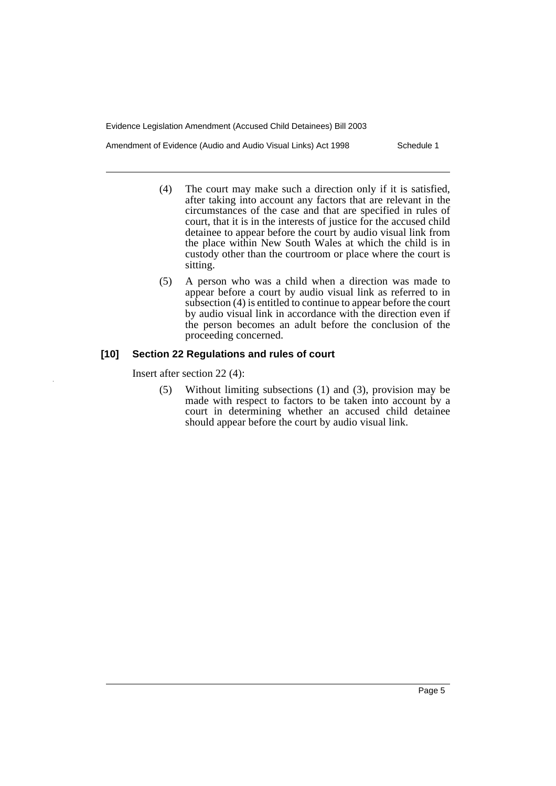Amendment of Evidence (Audio and Audio Visual Links) Act 1998 Schedule 1

- (4) The court may make such a direction only if it is satisfied, after taking into account any factors that are relevant in the circumstances of the case and that are specified in rules of court, that it is in the interests of justice for the accused child detainee to appear before the court by audio visual link from the place within New South Wales at which the child is in custody other than the courtroom or place where the court is sitting.
- (5) A person who was a child when a direction was made to appear before a court by audio visual link as referred to in subsection (4) is entitled to continue to appear before the court by audio visual link in accordance with the direction even if the person becomes an adult before the conclusion of the proceeding concerned.

#### **[10] Section 22 Regulations and rules of court**

Insert after section 22 (4):

(5) Without limiting subsections (1) and (3), provision may be made with respect to factors to be taken into account by a court in determining whether an accused child detainee should appear before the court by audio visual link.